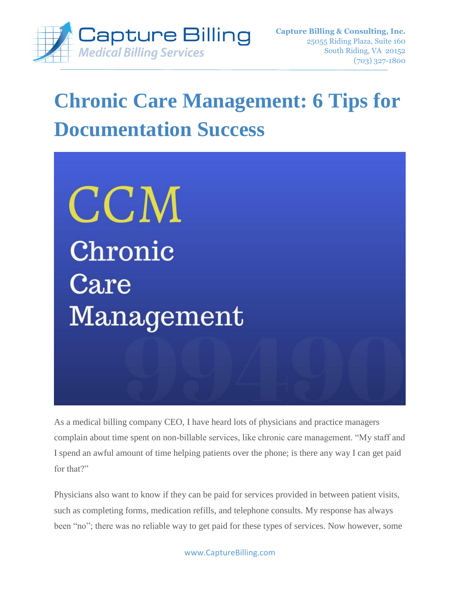

# **Chronic Care Management: 6 Tips for Documentation Success**

CCM Chronic  $\operatorname{Care}$ Management

As a medical billing company CEO, I have heard lots of physicians and practice managers complain about time spent on non-billable services, like chronic care management. "My staff and I spend an awful amount of time helping patients over the phone; is there any way I can get paid for that?"

Physicians also want to know if they can be paid for services provided in between patient visits, such as completing forms, medication refills, and telephone consults. My response has always been "no"; there was no reliable way to get paid for these types of services. Now however, some

www.CaptureBilling.com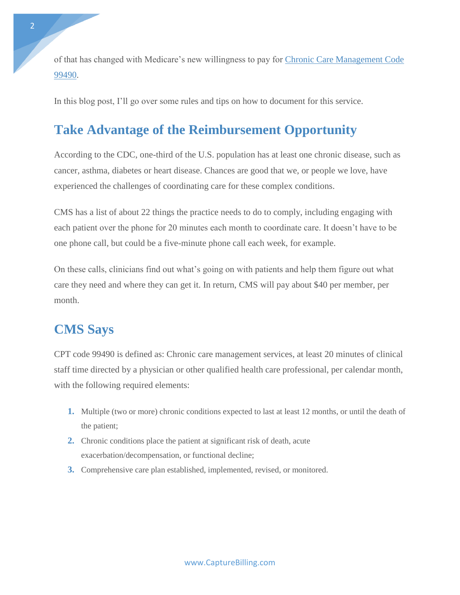of that has changed with Medicare's new willingness to pay for [Chronic Care Management Code](http://www.capturebilling.com/how-to-bill-chronic-care-management/)  [99490.](http://www.capturebilling.com/how-to-bill-chronic-care-management/)

In this blog post, I'll go over some rules and tips on how to document for this service.

### **Take Advantage of the Reimbursement Opportunity**

According to the CDC, one-third of the U.S. population has at least one chronic disease, such as cancer, asthma, diabetes or heart disease. Chances are good that we, or people we love, have experienced the challenges of coordinating care for these complex conditions.

CMS has a list of about 22 things the practice needs to do to comply, including engaging with each patient over the phone for 20 minutes each month to coordinate care. It doesn't have to be one phone call, but could be a five-minute phone call each week, for example.

On these calls, clinicians find out what's going on with patients and help them figure out what care they need and where they can get it. In return, CMS will pay about \$40 per member, per month.

## **CMS Says**

CPT code 99490 is defined as: Chronic care management services, at least 20 minutes of clinical staff time directed by a physician or other qualified health care professional, per calendar month, with the following required elements:

- **1.** Multiple (two or more) chronic conditions expected to last at least 12 months, or until the death of the patient;
- **2.** Chronic conditions place the patient at significant risk of death, acute exacerbation/decompensation, or functional decline;
- **3.** Comprehensive care plan established, implemented, revised, or monitored.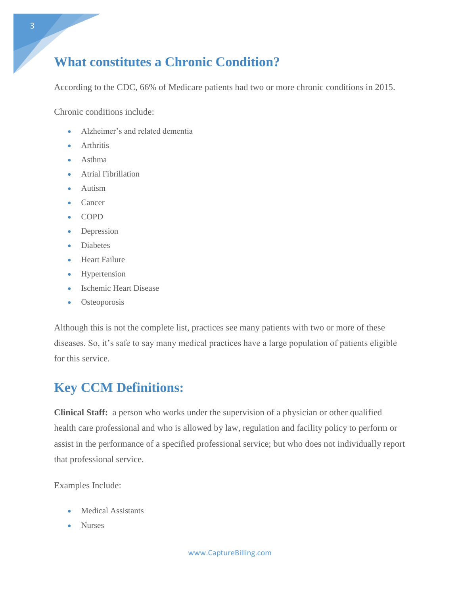## **What constitutes a Chronic Condition?**

According to the CDC, 66% of Medicare patients had two or more chronic conditions in 2015.

Chronic conditions include:

- Alzheimer's and related dementia
- **•** Arthritis
- Asthma
- Atrial Fibrillation
- Autism
- Cancer
- COPD
- Depression
- Diabetes
- Heart Failure
- Hypertension
- Ischemic Heart Disease
- Osteoporosis

Although this is not the complete list, practices see many patients with two or more of these diseases. So, it's safe to say many medical practices have a large population of patients eligible for this service.

## **Key CCM Definitions:**

**Clinical Staff:** a person who works under the supervision of a physician or other qualified health care professional and who is allowed by law, regulation and facility policy to perform or assist in the performance of a specified professional service; but who does not individually report that professional service.

Examples Include:

- Medical Assistants
- Nurses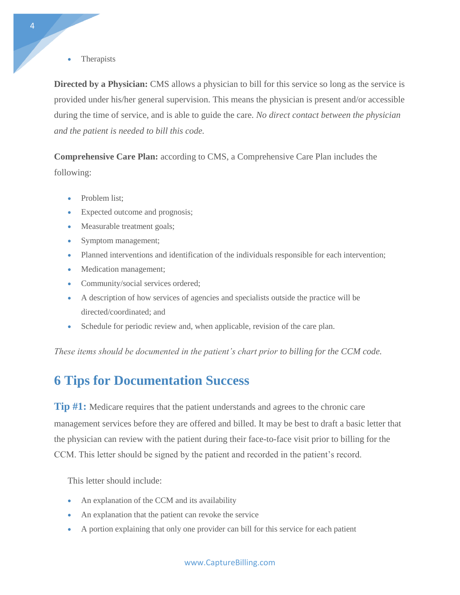**Therapists** 

**Directed by a Physician:** CMS allows a physician to bill for this service so long as the service is provided under his/her general supervision. This means the physician is present and/or accessible during the time of service, and is able to guide the care. *No direct contact between the physician and the patient is needed to bill this code.*

**Comprehensive Care Plan:** according to CMS, a Comprehensive Care Plan includes the following:

- Problem list;
- Expected outcome and prognosis;
- Measurable treatment goals;
- Symptom management;
- Planned interventions and identification of the individuals responsible for each intervention;
- Medication management;
- Community/social services ordered;
- A description of how services of agencies and specialists outside the practice will be directed/coordinated; and
- Schedule for periodic review and, when applicable, revision of the care plan.

*These items should be documented in the patient's chart prior to billing for the CCM code.*

### **6 Tips for Documentation Success**

**Tip #1:** Medicare requires that the patient understands and agrees to the chronic care management services before they are offered and billed. It may be best to draft a basic letter that the physician can review with the patient during their face-to-face visit prior to billing for the CCM. This letter should be signed by the patient and recorded in the patient's record.

This letter should include:

- An explanation of the CCM and its availability
- An explanation that the patient can revoke the service
- A portion explaining that only one provider can bill for this service for each patient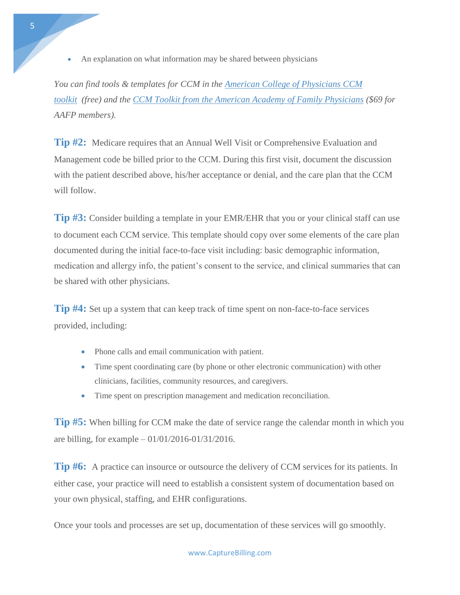An explanation on what information may be shared between physicians

*You can find tools & templates for CCM in the [American College of Physicians CCM](https://www.acponline.org/system/files/documents/running_practice/payment_coding/medicare/chronic_care_management_toolkit.pdf)  [toolkit](https://www.acponline.org/system/files/documents/running_practice/payment_coding/medicare/chronic_care_management_toolkit.pdf) (free) and the [CCM Toolkit from the American Academy of Family Physicians](https://nf.aafp.org/Shop/coding-tools/aafp-ccm-toolkit) (\$69 for AAFP members).*

**Tip #2:** Medicare requires that an Annual Well Visit or Comprehensive Evaluation and Management code be billed prior to the CCM. During this first visit, document the discussion with the patient described above, his/her acceptance or denial, and the care plan that the CCM will follow.

**Tip #3:** Consider building a template in your EMR/EHR that you or your clinical staff can use to document each CCM service. This template should copy over some elements of the care plan documented during the initial face-to-face visit including: basic demographic information, medication and allergy info, the patient's consent to the service, and clinical summaries that can be shared with other physicians.

**Tip #4:** Set up a system that can keep track of time spent on non-face-to-face services provided, including:

- Phone calls and email communication with patient.
- Time spent coordinating care (by phone or other electronic communication) with other clinicians, facilities, community resources, and caregivers.
- Time spent on prescription management and medication reconciliation.

**Tip #5:** When billing for CCM make the date of service range the calendar month in which you are billing, for example – 01/01/2016-01/31/2016.

**Tip #6:** A practice can insource or outsource the delivery of CCM services for its patients. In either case, your practice will need to establish a consistent system of documentation based on your own physical, staffing, and EHR configurations.

Once your tools and processes are set up, documentation of these services will go smoothly.